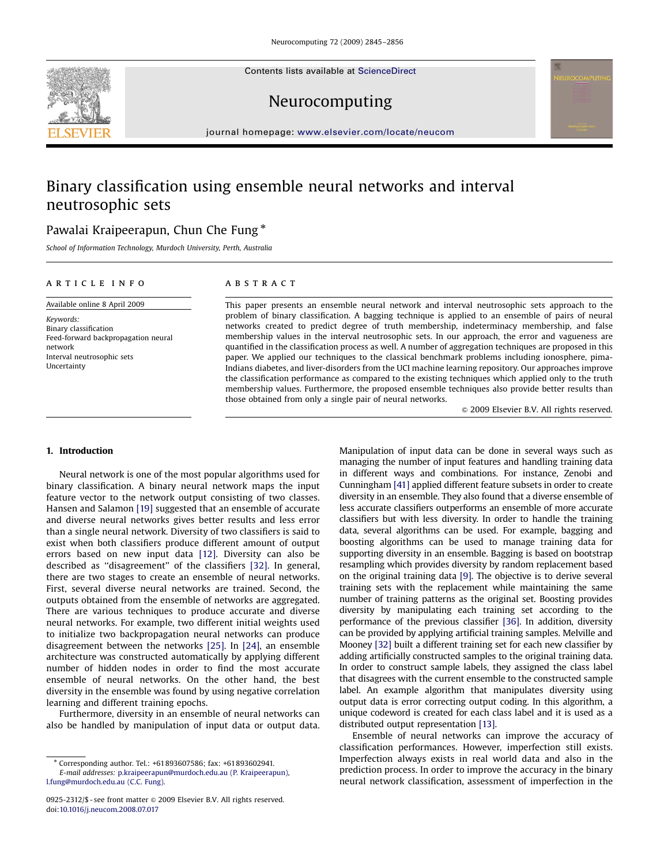Contents lists available at [ScienceDirect](www.sciencedirect.com/science/journal/neucom)



journal homepage: <www.elsevier.com/locate/neucom>

# Binary classification using ensemble neural networks and interval neutrosophic sets

# Pawalai Kraipeerapun, Chun Che Fung  $^\ast$

School of Information Technology, Murdoch University, Perth, Australia

## article info

Available online 8 April 2009 Keywords: Binary classification Feed-forward backpropagation neural network Interval neutrosophic sets

## ABSTRACT

This paper presents an ensemble neural network and interval neutrosophic sets approach to the problem of binary classification. A bagging technique is applied to an ensemble of pairs of neural networks created to predict degree of truth membership, indeterminacy membership, and false membership values in the interval neutrosophic sets. In our approach, the error and vagueness are quantified in the classification process as well. A number of aggregation techniques are proposed in this paper. We applied our techniques to the classical benchmark problems including ionosphere, pima-Indians diabetes, and liver-disorders from the UCI machine learning repository. Our approaches improve the classification performance as compared to the existing techniques which applied only to the truth membership values. Furthermore, the proposed ensemble techniques also provide better results than those obtained from only a single pair of neural networks.

 $\odot$  2009 Elsevier B.V. All rights reserved.

#### 1. Introduction

Uncertainty

Neural network is one of the most popular algorithms used for binary classification. A binary neural network maps the input feature vector to the network output consisting of two classes. Hansen and Salamon [\[19\]](#page-10-0) suggested that an ensemble of accurate and diverse neural networks gives better results and less error than a single neural network. Diversity of two classifiers is said to exist when both classifiers produce different amount of output errors based on new input data [\[12\]](#page-10-0). Diversity can also be described as ''disagreement'' of the classifiers [\[32\]](#page-10-0). In general, there are two stages to create an ensemble of neural networks. First, several diverse neural networks are trained. Second, the outputs obtained from the ensemble of networks are aggregated. There are various techniques to produce accurate and diverse neural networks. For example, two different initial weights used to initialize two backpropagation neural networks can produce disagreement between the networks [\[25\].](#page-10-0) In [\[24\]](#page-10-0), an ensemble architecture was constructed automatically by applying different number of hidden nodes in order to find the most accurate ensemble of neural networks. On the other hand, the best diversity in the ensemble was found by using negative correlation learning and different training epochs.

Furthermore, diversity in an ensemble of neural networks can also be handled by manipulation of input data or output data. Manipulation of input data can be done in several ways such as managing the number of input features and handling training data in different ways and combinations. For instance, Zenobi and Cunningham [\[41\]](#page-11-0) applied different feature subsets in order to create diversity in an ensemble. They also found that a diverse ensemble of less accurate classifiers outperforms an ensemble of more accurate classifiers but with less diversity. In order to handle the training data, several algorithms can be used. For example, bagging and boosting algorithms can be used to manage training data for supporting diversity in an ensemble. Bagging is based on bootstrap resampling which provides diversity by random replacement based on the original training data [\[9\].](#page-10-0) The objective is to derive several training sets with the replacement while maintaining the same number of training patterns as the original set. Boosting provides diversity by manipulating each training set according to the performance of the previous classifier [\[36\].](#page-10-0) In addition, diversity can be provided by applying artificial training samples. Melville and Mooney [\[32\]](#page-10-0) built a different training set for each new classifier by adding artificially constructed samples to the original training data. In order to construct sample labels, they assigned the class label that disagrees with the current ensemble to the constructed sample label. An example algorithm that manipulates diversity using output data is error correcting output coding. In this algorithm, a unique codeword is created for each class label and it is used as a distributed output representation [\[13\]](#page-10-0).

Ensemble of neural networks can improve the accuracy of classification performances. However, imperfection still exists. Imperfection always exists in real world data and also in the prediction process. In order to improve the accuracy in the binary neural network classification, assessment of imperfection in the



<sup>-</sup> Corresponding author. Tel.: +61893607586; fax: +61893602941. E-mail addresses: [p.kraipeerapun@murdoch.edu.au \(P. Kraipeerapun\)](mailto:p.kraipeerapun@murdoch.edu.au), [l.fung@murdoch.edu.au \(C.C. Fung\)](mailto:l.fung@murdoch.edu.au).

<sup>0925-2312/\$ -</sup> see front matter @ 2009 Elsevier B.V. All rights reserved. doi:[10.1016/j.neucom.2008.07.017](dx.doi.org/10.1016/j.neucom.2008.07.017)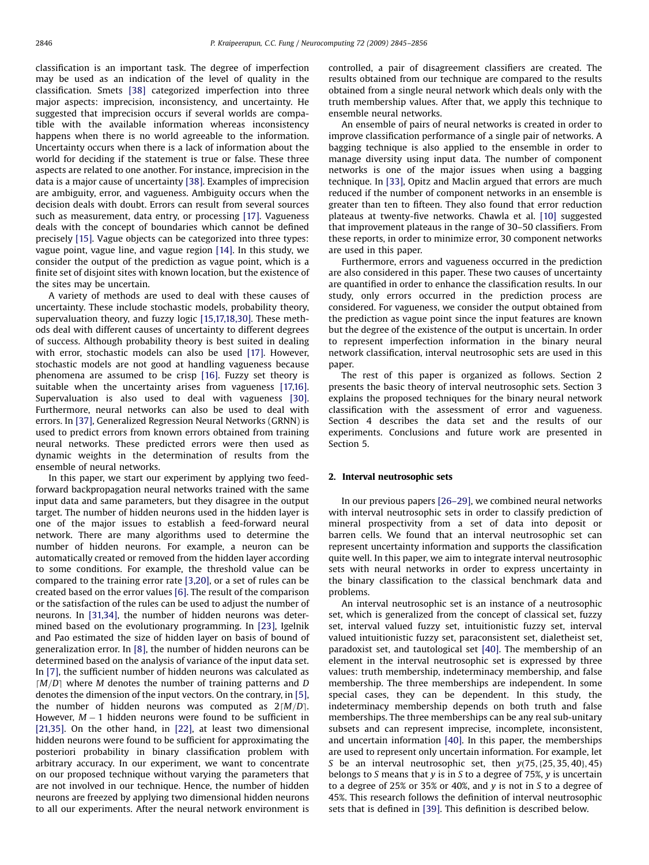classification is an important task. The degree of imperfection may be used as an indication of the level of quality in the classification. Smets [\[38\]](#page-11-0) categorized imperfection into three major aspects: imprecision, inconsistency, and uncertainty. He suggested that imprecision occurs if several worlds are compatible with the available information whereas inconsistency happens when there is no world agreeable to the information. Uncertainty occurs when there is a lack of information about the world for deciding if the statement is true or false. These three aspects are related to one another. For instance, imprecision in the data is a major cause of uncertainty [\[38\]](#page-11-0). Examples of imprecision are ambiguity, error, and vagueness. Ambiguity occurs when the decision deals with doubt. Errors can result from several sources such as measurement, data entry, or processing [\[17\]](#page-10-0). Vagueness deals with the concept of boundaries which cannot be defined precisely [\[15\].](#page-10-0) Vague objects can be categorized into three types: vague point, vague line, and vague region [\[14\]](#page-10-0). In this study, we consider the output of the prediction as vague point, which is a finite set of disjoint sites with known location, but the existence of the sites may be uncertain.

A variety of methods are used to deal with these causes of uncertainty. These include stochastic models, probability theory, supervaluation theory, and fuzzy logic [\[15,17,18,30\]](#page-10-0). These methods deal with different causes of uncertainty to different degrees of success. Although probability theory is best suited in dealing with error, stochastic models can also be used [\[17\].](#page-10-0) However, stochastic models are not good at handling vagueness because phenomena are assumed to be crisp [\[16\]](#page-10-0). Fuzzy set theory is suitable when the uncertainty arises from vagueness [\[17,16\].](#page-10-0) Supervaluation is also used to deal with vagueness [\[30\].](#page-10-0) Furthermore, neural networks can also be used to deal with errors. In [\[37\],](#page-11-0) Generalized Regression Neural Networks (GRNN) is used to predict errors from known errors obtained from training neural networks. These predicted errors were then used as dynamic weights in the determination of results from the ensemble of neural networks.

In this paper, we start our experiment by applying two feedforward backpropagation neural networks trained with the same input data and same parameters, but they disagree in the output target. The number of hidden neurons used in the hidden layer is one of the major issues to establish a feed-forward neural network. There are many algorithms used to determine the number of hidden neurons. For example, a neuron can be automatically created or removed from the hidden layer according to some conditions. For example, the threshold value can be compared to the training error rate [\[3,20\]](#page-10-0), or a set of rules can be created based on the error values [\[6\]](#page-10-0). The result of the comparison or the satisfaction of the rules can be used to adjust the number of neurons. In [\[31,34\],](#page-10-0) the number of hidden neurons was determined based on the evolutionary programming. In [\[23\]](#page-10-0), Igelnik and Pao estimated the size of hidden layer on basis of bound of generalization error. In [\[8\],](#page-10-0) the number of hidden neurons can be determined based on the analysis of variance of the input data set. In [\[7\],](#page-10-0) the sufficient number of hidden neurons was calculated as  $[M/D]$  where M denotes the number of training patterns and D denotes the dimension of the input vectors. On the contrary, in [\[5\],](#page-10-0) the number of hidden neurons was computed as  $2[M/D]$ . However,  $M-1$  hidden neurons were found to be sufficient in [\[21,35\].](#page-10-0) On the other hand, in [\[22\]](#page-10-0), at least two dimensional hidden neurons were found to be sufficient for approximating the posteriori probability in binary classification problem with arbitrary accuracy. In our experiment, we want to concentrate on our proposed technique without varying the parameters that are not involved in our technique. Hence, the number of hidden neurons are freezed by applying two dimensional hidden neurons to all our experiments. After the neural network environment is controlled, a pair of disagreement classifiers are created. The results obtained from our technique are compared to the results obtained from a single neural network which deals only with the truth membership values. After that, we apply this technique to ensemble neural networks.

An ensemble of pairs of neural networks is created in order to improve classification performance of a single pair of networks. A bagging technique is also applied to the ensemble in order to manage diversity using input data. The number of component networks is one of the major issues when using a bagging technique. In [\[33\]](#page-10-0), Opitz and Maclin argued that errors are much reduced if the number of component networks in an ensemble is greater than ten to fifteen. They also found that error reduction plateaus at twenty-five networks. Chawla et al. [\[10\]](#page-10-0) suggested that improvement plateaus in the range of 30–50 classifiers. From these reports, in order to minimize error, 30 component networks are used in this paper.

Furthermore, errors and vagueness occurred in the prediction are also considered in this paper. These two causes of uncertainty are quantified in order to enhance the classification results. In our study, only errors occurred in the prediction process are considered. For vagueness, we consider the output obtained from the prediction as vague point since the input features are known but the degree of the existence of the output is uncertain. In order to represent imperfection information in the binary neural network classification, interval neutrosophic sets are used in this paper.

The rest of this paper is organized as follows. Section 2 presents the basic theory of interval neutrosophic sets. Section 3 explains the proposed techniques for the binary neural network classification with the assessment of error and vagueness. Section 4 describes the data set and the results of our experiments. Conclusions and future work are presented in Section 5.

### 2. Interval neutrosophic sets

In our previous papers [\[26–29\]](#page-10-0), we combined neural networks with interval neutrosophic sets in order to classify prediction of mineral prospectivity from a set of data into deposit or barren cells. We found that an interval neutrosophic set can represent uncertainty information and supports the classification quite well. In this paper, we aim to integrate interval neutrosophic sets with neural networks in order to express uncertainty in the binary classification to the classical benchmark data and problems.

An interval neutrosophic set is an instance of a neutrosophic set, which is generalized from the concept of classical set, fuzzy set, interval valued fuzzy set, intuitionistic fuzzy set, interval valued intuitionistic fuzzy set, paraconsistent set, dialetheist set, paradoxist set, and tautological set [\[40\]](#page-11-0). The membership of an element in the interval neutrosophic set is expressed by three values: truth membership, indeterminacy membership, and false membership. The three memberships are independent. In some special cases, they can be dependent. In this study, the indeterminacy membership depends on both truth and false memberships. The three memberships can be any real sub-unitary subsets and can represent imprecise, incomplete, inconsistent, and uncertain information [\[40\].](#page-11-0) In this paper, the memberships are used to represent only uncertain information. For example, let S be an interval neutrosophic set, then  $y(75, {25, 35, 40}, 45)$ belongs to S means that  $y$  is in S to a degree of 75%,  $y$  is uncertain to a degree of 25% or 35% or 40%, and y is not in S to a degree of 45%. This research follows the definition of interval neutrosophic sets that is defined in [\[39\].](#page-11-0) This definition is described below.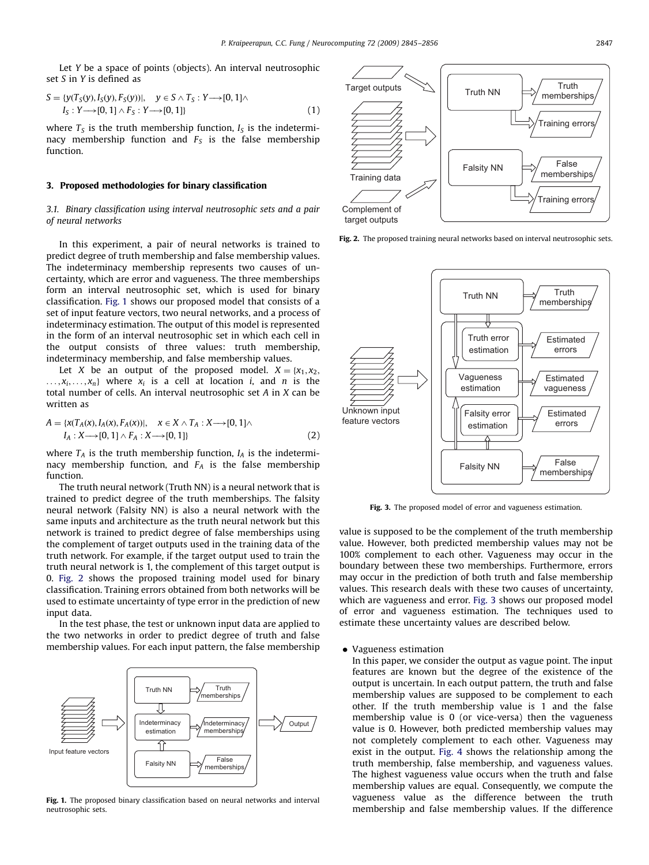Let Y be a space of points (objects). An interval neutrosophic set S in Y is defined as

$$
S = \{y(T_S(y), I_S(y), F_S(y))\}, y \in S \land T_S: Y \longrightarrow [0, 1] \land I_S: Y \longrightarrow [0, 1] \land F_S: Y \longrightarrow [0, 1]\}
$$
\n(1)

where  $T<sub>S</sub>$  is the truth membership function,  $I<sub>S</sub>$  is the indeterminacy membership function and  $F<sub>S</sub>$  is the false membership function.

## 3. Proposed methodologies for binary classification

## 3.1. Binary classification using interval neutrosophic sets and a pair of neural networks

In this experiment, a pair of neural networks is trained to predict degree of truth membership and false membership values. The indeterminacy membership represents two causes of uncertainty, which are error and vagueness. The three memberships form an interval neutrosophic set, which is used for binary classification. Fig. 1 shows our proposed model that consists of a set of input feature vectors, two neural networks, and a process of indeterminacy estimation. The output of this model is represented in the form of an interval neutrosophic set in which each cell in the output consists of three values: truth membership, indeterminacy membership, and false membership values.

Let X be an output of the proposed model.  $X = \{x_1, x_2, \ldots, x_n\}$  $..., x_i,..., x_n$  where  $x_i$  is a cell at location *i*, and *n* is the total number of cells. An interval neutrosophic set A in X can be written as

$$
A = \{x(T_A(x), I_A(x), F_A(x))|, \quad x \in X \land T_A : X \longrightarrow [0, 1] \land I_A : X \longrightarrow [0, 1] \land F_A : X \longrightarrow [0, 1]\}
$$
\n
$$
(2)
$$

where  $T_A$  is the truth membership function,  $I_A$  is the indeterminacy membership function, and  $F_A$  is the false membership function.

The truth neural network (Truth NN) is a neural network that is trained to predict degree of the truth memberships. The falsity neural network (Falsity NN) is also a neural network with the same inputs and architecture as the truth neural network but this network is trained to predict degree of false memberships using the complement of target outputs used in the training data of the truth network. For example, if the target output used to train the truth neural network is 1, the complement of this target output is 0. Fig. 2 shows the proposed training model used for binary classification. Training errors obtained from both networks will be used to estimate uncertainty of type error in the prediction of new input data.

In the test phase, the test or unknown input data are applied to the two networks in order to predict degree of truth and false membership values. For each input pattern, the false membership



Fig. 1. The proposed binary classification based on neural networks and interval neutrosophic sets.



Fig. 2. The proposed training neural networks based on interval neutrosophic sets.



Fig. 3. The proposed model of error and vagueness estimation.

value is supposed to be the complement of the truth membership value. However, both predicted membership values may not be 100% complement to each other. Vagueness may occur in the boundary between these two memberships. Furthermore, errors may occur in the prediction of both truth and false membership values. This research deals with these two causes of uncertainty, which are vagueness and error. Fig. 3 shows our proposed model of error and vagueness estimation. The techniques used to estimate these uncertainty values are described below.

#### Vagueness estimation

In this paper, we consider the output as vague point. The input features are known but the degree of the existence of the output is uncertain. In each output pattern, the truth and false membership values are supposed to be complement to each other. If the truth membership value is 1 and the false membership value is 0 (or vice-versa) then the vagueness value is 0. However, both predicted membership values may not completely complement to each other. Vagueness may exist in the output. [Fig. 4](#page-3-0) shows the relationship among the truth membership, false membership, and vagueness values. The highest vagueness value occurs when the truth and false membership values are equal. Consequently, we compute the vagueness value as the difference between the truth membership and false membership values. If the difference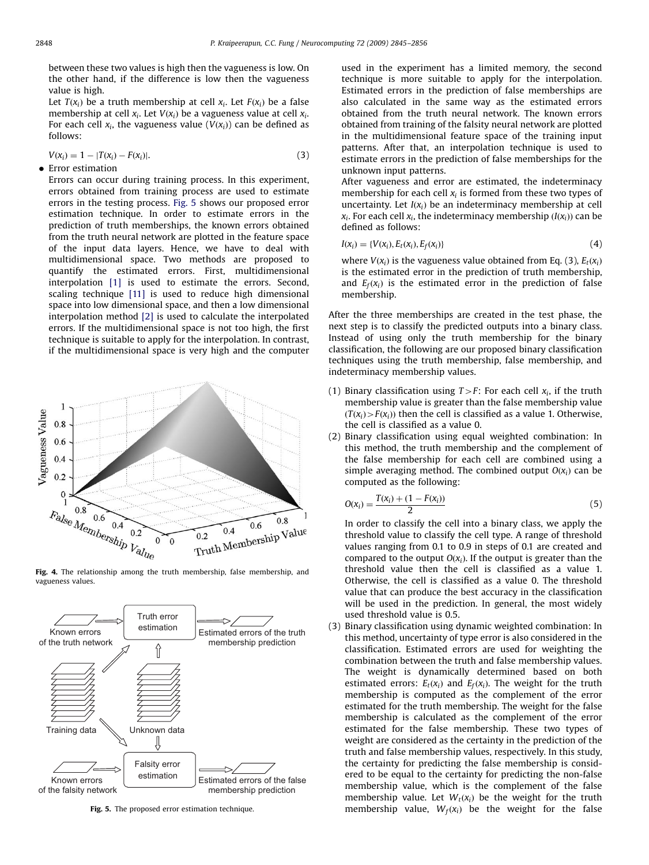<span id="page-3-0"></span>between these two values is high then the vagueness is low. On the other hand, if the difference is low then the vagueness value is high.

Let  $T(x_i)$  be a truth membership at cell  $x_i$ . Let  $F(x_i)$  be a false membership at cell  $x_i$ . Let  $V(x_i)$  be a vagueness value at cell  $x_i$ . For each cell  $x_i$ , the vagueness value  $(V(x_i))$  can be defined as follows:

$$
V(x_i) = 1 - |T(x_i) - F(x_i)|. \tag{3}
$$

**Error estimation** 

Errors can occur during training process. In this experiment, errors obtained from training process are used to estimate errors in the testing process. Fig. 5 shows our proposed error estimation technique. In order to estimate errors in the prediction of truth memberships, the known errors obtained from the truth neural network are plotted in the feature space of the input data layers. Hence, we have to deal with multidimensional space. Two methods are proposed to quantify the estimated errors. First, multidimensional interpolation [\[1\]](#page-10-0) is used to estimate the errors. Second, scaling technique [\[11\]](#page-10-0) is used to reduce high dimensional space into low dimensional space, and then a low dimensional interpolation method [\[2\]](#page-10-0) is used to calculate the interpolated errors. If the multidimensional space is not too high, the first technique is suitable to apply for the interpolation. In contrast, if the multidimensional space is very high and the computer



Fig. 4. The relationship among the truth membership, false membership, and vagueness values.



Fig. 5. The proposed error estimation technique.

used in the experiment has a limited memory, the second technique is more suitable to apply for the interpolation. Estimated errors in the prediction of false memberships are also calculated in the same way as the estimated errors obtained from the truth neural network. The known errors obtained from training of the falsity neural network are plotted in the multidimensional feature space of the training input patterns. After that, an interpolation technique is used to estimate errors in the prediction of false memberships for the unknown input patterns.

After vagueness and error are estimated, the indeterminacy membership for each cell  $x_i$  is formed from these two types of uncertainty. Let  $I(x_i)$  be an indeterminacy membership at cell  $x_i$ . For each cell  $x_i$ , the indeterminacy membership  $(I(x_i))$  can be defined as follows:

$$
I(x_i) = \{V(x_i), E_t(x_i), E_f(x_i)\}\tag{4}
$$

where  $V(x_i)$  is the vagueness value obtained from Eq. (3),  $E_t(x_i)$ is the estimated error in the prediction of truth membership, and  $E_f(x_i)$  is the estimated error in the prediction of false membership.

After the three memberships are created in the test phase, the next step is to classify the predicted outputs into a binary class. Instead of using only the truth membership for the binary classification, the following are our proposed binary classification techniques using the truth membership, false membership, and indeterminacy membership values.

- (1) Binary classification using  $T>F$ : For each cell  $x_i$ , if the truth membership value is greater than the false membership value  $(T(x_i) > F(x_i))$  then the cell is classified as a value 1. Otherwise, the cell is classified as a value 0.
- (2) Binary classification using equal weighted combination: In this method, the truth membership and the complement of the false membership for each cell are combined using a simple averaging method. The combined output  $O(x_i)$  can be computed as the following:

$$
O(x_i) = \frac{T(x_i) + (1 - F(x_i))}{2}
$$
\n(5)

In order to classify the cell into a binary class, we apply the threshold value to classify the cell type. A range of threshold values ranging from 0.1 to 0.9 in steps of 0.1 are created and compared to the output  $O(x_i)$ . If the output is greater than the threshold value then the cell is classified as a value 1. Otherwise, the cell is classified as a value 0. The threshold value that can produce the best accuracy in the classification will be used in the prediction. In general, the most widely used threshold value is 0.5.

(3) Binary classification using dynamic weighted combination: In this method, uncertainty of type error is also considered in the classification. Estimated errors are used for weighting the combination between the truth and false membership values. The weight is dynamically determined based on both estimated errors:  $E_t(x_i)$  and  $E_f(x_i)$ . The weight for the truth membership is computed as the complement of the error estimated for the truth membership. The weight for the false membership is calculated as the complement of the error estimated for the false membership. These two types of weight are considered as the certainty in the prediction of the truth and false membership values, respectively. In this study, the certainty for predicting the false membership is considered to be equal to the certainty for predicting the non-false membership value, which is the complement of the false membership value. Let  $W_t(x_i)$  be the weight for the truth membership value,  $W_f(x_i)$  be the weight for the false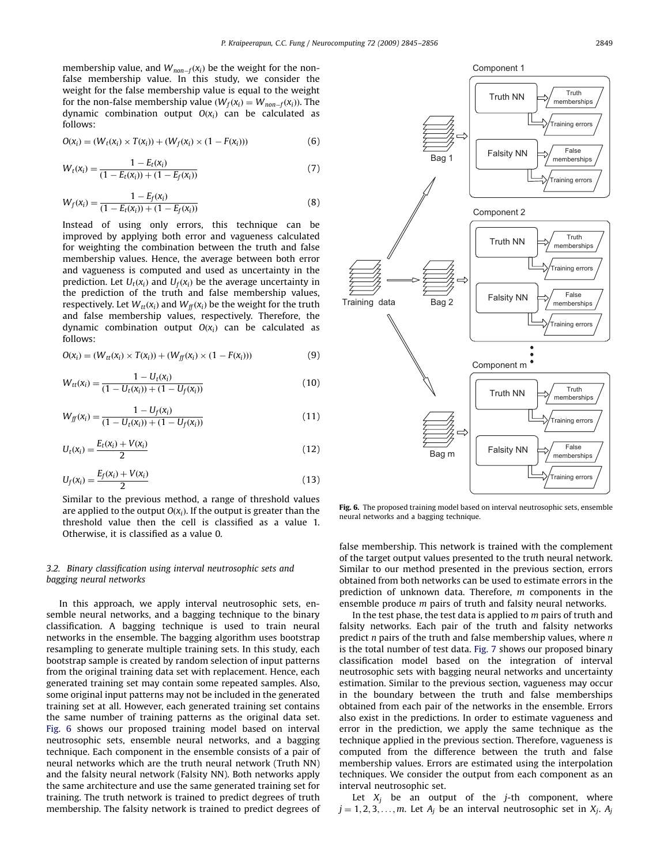membership value, and  ${W}_{non-f}({x}_{i})$  be the weight for the nonfalse membership value. In this study, we consider the weight for the false membership value is equal to the weight for the non-false membership value ( $W_f(x_i) = W_{non-f}(x_i)$ ). The dynamic combination output  $O(x_i)$  can be calculated as follows:

$$
O(x_i) = (W_t(x_i) \times T(x_i)) + (W_f(x_i) \times (1 - F(x_i)))
$$
\n(6)

$$
W_t(x_i) = \frac{1 - E_t(x_i)}{(1 - E_t(x_i)) + (1 - E_f(x_i))}
$$
\n(7)

$$
W_f(x_i) = \frac{1 - E_f(x_i)}{(1 - E_f(x_i)) + (1 - E_f(x_i))}
$$
\n(8)

Instead of using only errors, this technique can be improved by applying both error and vagueness calculated for weighting the combination between the truth and false membership values. Hence, the average between both error and vagueness is computed and used as uncertainty in the prediction. Let  $U_t(x_i)$  and  $U_f(x_i)$  be the average uncertainty in the prediction of the truth and false membership values, respectively. Let  $W_{tt}(x_i)$  and  $W_{ff}(x_i)$  be the weight for the truth and false membership values, respectively. Therefore, the dynamic combination output  $O(x_i)$  can be calculated as follows:

$$
O(x_i) = (W_{tt}(x_i) \times T(x_i)) + (W_{ff}(x_i) \times (1 - F(x_i)))
$$
\n(9)

$$
W_{tt}(x_i) = \frac{1 - U_t(x_i)}{(1 - U_t(x_i)) + (1 - U_f(x_i))}
$$
(10)

$$
W_{ff}(x_i) = \frac{1 - U_f(x_i)}{(1 - U_f(x_i)) + (1 - U_f(x_i))}
$$
\n(11)

$$
U_t(x_i) = \frac{E_t(x_i) + V(x_i)}{2}
$$
\n(12)

$$
U_f(x_i) = \frac{E_f(x_i) + V(x_i)}{2}
$$
\n(13)

Similar to the previous method, a range of threshold values are applied to the output  $O(x_i)$ . If the output is greater than the threshold value then the cell is classified as a value 1. Otherwise, it is classified as a value 0.

# 3.2. Binary classification using interval neutrosophic sets and bagging neural networks

In this approach, we apply interval neutrosophic sets, ensemble neural networks, and a bagging technique to the binary classification. A bagging technique is used to train neural networks in the ensemble. The bagging algorithm uses bootstrap resampling to generate multiple training sets. In this study, each bootstrap sample is created by random selection of input patterns from the original training data set with replacement. Hence, each generated training set may contain some repeated samples. Also, some original input patterns may not be included in the generated training set at all. However, each generated training set contains the same number of training patterns as the original data set. Fig. 6 shows our proposed training model based on interval neutrosophic sets, ensemble neural networks, and a bagging technique. Each component in the ensemble consists of a pair of neural networks which are the truth neural network (Truth NN) and the falsity neural network (Falsity NN). Both networks apply the same architecture and use the same generated training set for training. The truth network is trained to predict degrees of truth membership. The falsity network is trained to predict degrees of



Fig. 6. The proposed training model based on interval neutrosophic sets, ensemble neural networks and a bagging technique.

false membership. This network is trained with the complement of the target output values presented to the truth neural network. Similar to our method presented in the previous section, errors obtained from both networks can be used to estimate errors in the prediction of unknown data. Therefore, m components in the ensemble produce m pairs of truth and falsity neural networks.

In the test phase, the test data is applied to  $m$  pairs of truth and falsity networks. Each pair of the truth and falsity networks predict  $n$  pairs of the truth and false membership values, where  $n$ is the total number of test data. [Fig. 7](#page-5-0) shows our proposed binary classification model based on the integration of interval neutrosophic sets with bagging neural networks and uncertainty estimation. Similar to the previous section, vagueness may occur in the boundary between the truth and false memberships obtained from each pair of the networks in the ensemble. Errors also exist in the predictions. In order to estimate vagueness and error in the prediction, we apply the same technique as the technique applied in the previous section. Therefore, vagueness is computed from the difference between the truth and false membership values. Errors are estimated using the interpolation techniques. We consider the output from each component as an interval neutrosophic set.

Let  $X_i$  be an output of the *j*-th component, where  $j = 1, 2, 3, \ldots, m$ . Let  $A_j$  be an interval neutrosophic set in  $X_j$ .  $A_j$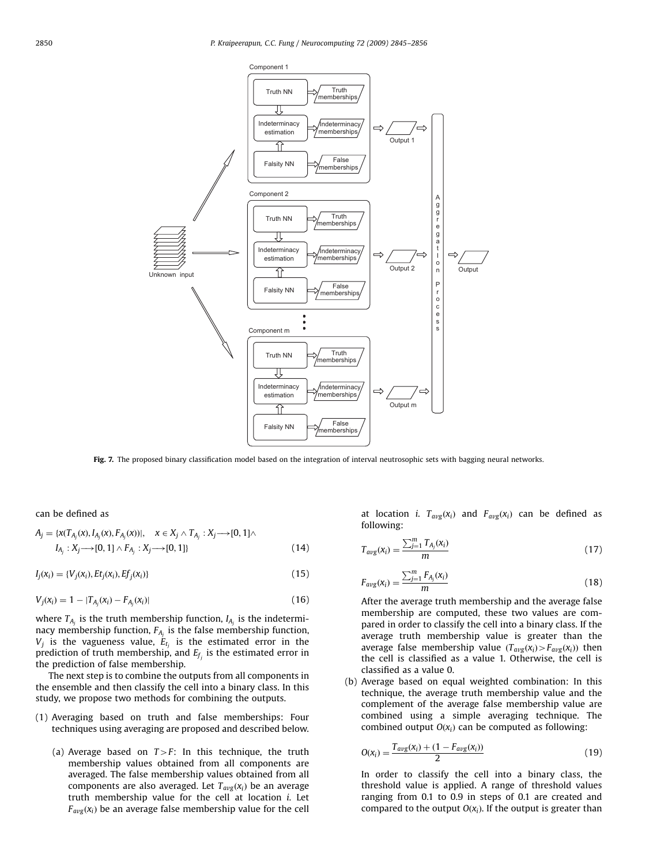<span id="page-5-0"></span>

Fig. 7. The proposed binary classification model based on the integration of interval neutrosophic sets with bagging neural networks.

can be defined as

$$
A_j = \{x(T_{A_j}(x), I_{A_j}(x), F_{A_j}(x))|, \quad x \in X_j \land T_{A_j} : X_j \longrightarrow [0, 1] \land I_{A_j} : X_j \longrightarrow [0, 1] \land F_{A_j} : X_j \longrightarrow [0, 1]\}
$$
\n(14)

 $I_j(x_i) = \{V_j(x_i), Et_j(x_i),Ef_j(x_i)\}$  (15)

$$
V_j(x_i) = 1 - |T_{A_j}(x_i) - F_{A_j}(x_i)|
$$
\n(16)

where  $T_{A_i}$  is the truth membership function,  $I_{A_i}$  is the indeterminacy membership function,  $F_{A_i}$  is the false membership function,  $V_j$  is the vagueness value,  $E_{t_j}$  is the estimated error in the prediction of truth membership, and  $E_f$  is the estimated error in the prediction of false membership.

The next step is to combine the outputs from all components in the ensemble and then classify the cell into a binary class. In this study, we propose two methods for combining the outputs.

- (1) Averaging based on truth and false memberships: Four techniques using averaging are proposed and described below.
	- (a) Average based on  $T>F$ : In this technique, the truth membership values obtained from all components are averaged. The false membership values obtained from all components are also averaged. Let  $T_{avg}(x_i)$  be an average truth membership value for the cell at location i. Let  $F_{avg}(x_i)$  be an average false membership value for the cell

at location i.  $T_{avg}(x_i)$  and  $F_{avg}(x_i)$  can be defined as following:

$$
T_{avg}(x_i) = \frac{\sum_{j=1}^{m} T_{A_j}(x_i)}{m}
$$
 (17)

$$
F_{avg}(x_i) = \frac{\sum_{j=1}^{m} F_{A_j}(x_i)}{m}
$$
 (18)

After the average truth membership and the average false membership are computed, these two values are compared in order to classify the cell into a binary class. If the average truth membership value is greater than the average false membership value  $(T_{avg}(x_i) > F_{avg}(x_i))$  then the cell is classified as a value 1. Otherwise, the cell is classified as a value 0.

(b) Average based on equal weighted combination: In this technique, the average truth membership value and the complement of the average false membership value are combined using a simple averaging technique. The combined output  $O(x_i)$  can be computed as following:

$$
O(x_i) = \frac{T_{avg}(x_i) + (1 - F_{avg}(x_i))}{2}
$$
\n(19)

In order to classify the cell into a binary class, the threshold value is applied. A range of threshold values ranging from 0.1 to 0.9 in steps of 0.1 are created and compared to the output  $O(x_i)$ . If the output is greater than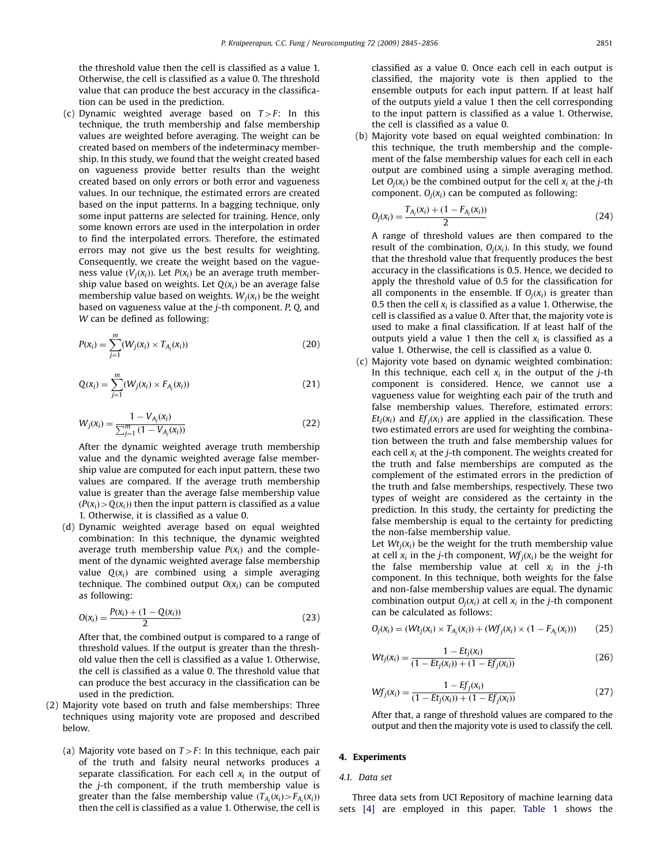the threshold value then the cell is classified as a value 1. Otherwise, the cell is classified as a value 0. The threshold value that can produce the best accuracy in the classification can be used in the prediction.

(c) Dynamic weighted average based on  $T>F$ : In this technique, the truth membership and false membership values are weighted before averaging. The weight can be created based on members of the indeterminacy membership. In this study, we found that the weight created based on vagueness provide better results than the weight created based on only errors or both error and vagueness values. In our technique, the estimated errors are created based on the input patterns. In a bagging technique, only some input patterns are selected for training. Hence, only some known errors are used in the interpolation in order to find the interpolated errors. Therefore, the estimated errors may not give us the best results for weighting. Consequently, we create the weight based on the vagueness value  $(V_i(x_i))$ . Let  $P(x_i)$  be an average truth membership value based on weights. Let  $O(x_i)$  be an average false membership value based on weights.  $W_i(x_i)$  be the weight based on vagueness value at the j-th component. P, Q, and W can be defined as following:

$$
P(x_i) = \sum_{j=1}^{m} (W_j(x_i) \times T_{A_j}(x_i))
$$
\n(20)

$$
Q(x_i) = \sum_{j=1}^{m} (W_j(x_i) \times F_{A_j}(x_i))
$$
\n(21)

$$
W_j(x_i) = \frac{1 - V_{A_j}(x_i)}{\sum_{j=1}^{m} (1 - V_{A_j}(x_i))}
$$
(22)

After the dynamic weighted average truth membership value and the dynamic weighted average false membership value are computed for each input pattern, these two values are compared. If the average truth membership value is greater than the average false membership value  $(P(X_i) > Q(X_i))$  then the input pattern is classified as a value 1. Otherwise, it is classified as a value 0.

(d) Dynamic weighted average based on equal weighted combination: In this technique, the dynamic weighted average truth membership value  $P(x_i)$  and the complement of the dynamic weighted average false membership value  $Q(x_i)$  are combined using a simple averaging technique. The combined output  $O(x_i)$  can be computed as following:

$$
O(x_i) = \frac{P(x_i) + (1 - Q(x_i))}{2}
$$
\n(23)

After that, the combined output is compared to a range of threshold values. If the output is greater than the threshold value then the cell is classified as a value 1. Otherwise, the cell is classified as a value 0. The threshold value that can produce the best accuracy in the classification can be used in the prediction.

- (2) Majority vote based on truth and false memberships: Three techniques using majority vote are proposed and described below.
	- (a) Majority vote based on  $T>F$ : In this technique, each pair of the truth and falsity neural networks produces a separate classification. For each cell  $x_i$  in the output of the j-th component, if the truth membership value is greater than the false membership value  $(T_{A_j}(x_i)$   $\!\!>$   $\! F_{A_j}(x_i))$ then the cell is classified as a value 1. Otherwise, the cell is

classified as a value 0. Once each cell in each output is classified, the majority vote is then applied to the ensemble outputs for each input pattern. If at least half of the outputs yield a value 1 then the cell corresponding to the input pattern is classified as a value 1. Otherwise, the cell is classified as a value 0.

(b) Majority vote based on equal weighted combination: In this technique, the truth membership and the complement of the false membership values for each cell in each output are combined using a simple averaging method. Let  $O_i(x_i)$  be the combined output for the cell  $x_i$  at the *i*-th component.  $O_i(x_i)$  can be computed as following:

$$
O_j(x_i) = \frac{T_{A_j}(x_i) + (1 - F_{A_j}(x_i))}{2}
$$
\n(24)

A range of threshold values are then compared to the result of the combination,  $O_i(x_i)$ . In this study, we found that the threshold value that frequently produces the best accuracy in the classifications is 0.5. Hence, we decided to apply the threshold value of 0.5 for the classification for all components in the ensemble. If  $O_i(x_i)$  is greater than 0.5 then the cell  $x_i$  is classified as a value 1. Otherwise, the cell is classified as a value 0. After that, the majority vote is used to make a final classification. If at least half of the outputs yield a value 1 then the cell  $x_i$  is classified as a value 1. Otherwise, the cell is classified as a value 0.

(c) Majority vote based on dynamic weighted combination: In this technique, each cell  $x_i$  in the output of the *j*-th component is considered. Hence, we cannot use a vagueness value for weighting each pair of the truth and false membership values. Therefore, estimated errors:  $Et_i(x_i)$  and  $Ef_i(x_i)$  are applied in the classification. These two estimated errors are used for weighting the combination between the truth and false membership values for each cell  $x_i$  at the *j*-th component. The weights created for the truth and false memberships are computed as the complement of the estimated errors in the prediction of the truth and false memberships, respectively. These two types of weight are considered as the certainty in the prediction. In this study, the certainty for predicting the false membership is equal to the certainty for predicting the non-false membership value.

Let  $Wt_i(x_i)$  be the weight for the truth membership value at cell  $x_i$  in the *j*-th component,  $Wf_i(x_i)$  be the weight for the false membership value at cell  $x_i$  in the *j*-th component. In this technique, both weights for the false and non-false membership values are equal. The dynamic combination output  $O_i(x_i)$  at cell  $x_i$  in the *j*-th component can be calculated as follows:

$$
O_j(x_i) = (Wt_j(x_i) \times T_{A_j}(x_i)) + (Wf_j(x_i) \times (1 - F_{A_j}(x_i))) \tag{25}
$$

$$
Wt_j(x_i) = \frac{1 - Et_j(x_i)}{(1 - Et_j(x_i)) + (1 - Ef_j(x_i))}
$$
(26)

$$
Wf_j(x_i) = \frac{1 - Ef_j(x_i)}{(1 - Et_j(x_i)) + (1 - Ef_j(x_i))}
$$
\n(27)

After that, a range of threshold values are compared to the output and then the majority vote is used to classify the cell.

## 4. Experiments

#### 4.1. Data set

Three data sets from UCI Repository of machine learning data sets [\[4\]](#page-10-0) are employed in this paper. [Table 1](#page-7-0) shows the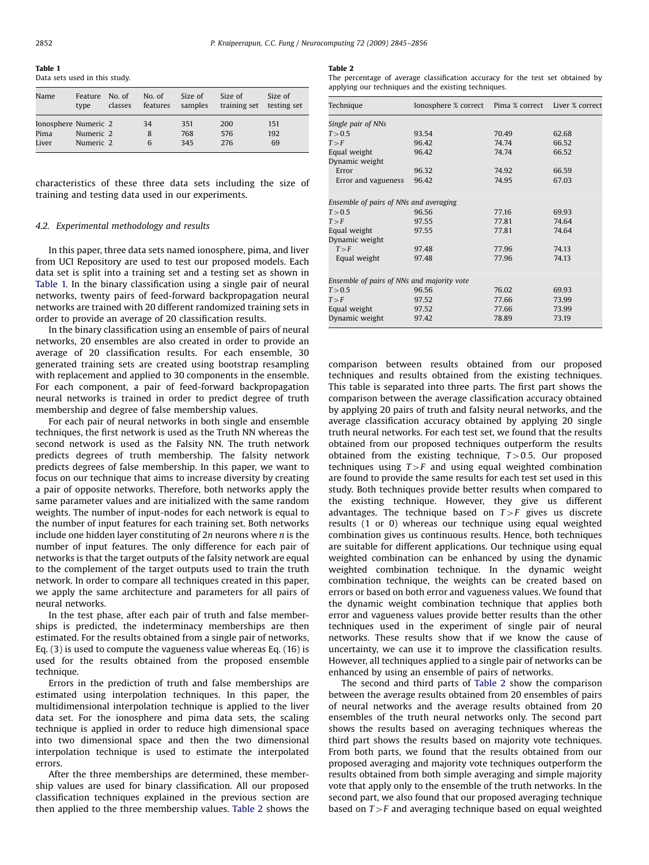<span id="page-7-0"></span>Table 1 Data sets used in this study.

| Name                 | Feature<br>type | No. of<br>classes | No. $of$<br>features | Size of<br>samples | Size of<br>training set | Size of<br>testing set |
|----------------------|-----------------|-------------------|----------------------|--------------------|-------------------------|------------------------|
| Ionosphere Numeric 2 |                 |                   | 34                   | 351                | 200                     | 151                    |
| Pima                 | Numeric 2       |                   | 8                    | 768                | 576                     | 192                    |
| Liver                | Numeric 2       |                   | 6                    | 345                | 276                     | 69                     |

characteristics of these three data sets including the size of training and testing data used in our experiments.

### 4.2. Experimental methodology and results

In this paper, three data sets named ionosphere, pima, and liver from UCI Repository are used to test our proposed models. Each data set is split into a training set and a testing set as shown in Table 1. In the binary classification using a single pair of neural networks, twenty pairs of feed-forward backpropagation neural networks are trained with 20 different randomized training sets in order to provide an average of 20 classification results.

In the binary classification using an ensemble of pairs of neural networks, 20 ensembles are also created in order to provide an average of 20 classification results. For each ensemble, 30 generated training sets are created using bootstrap resampling with replacement and applied to 30 components in the ensemble. For each component, a pair of feed-forward backpropagation neural networks is trained in order to predict degree of truth membership and degree of false membership values.

For each pair of neural networks in both single and ensemble techniques, the first network is used as the Truth NN whereas the second network is used as the Falsity NN. The truth network predicts degrees of truth membership. The falsity network predicts degrees of false membership. In this paper, we want to focus on our technique that aims to increase diversity by creating a pair of opposite networks. Therefore, both networks apply the same parameter values and are initialized with the same random weights. The number of input-nodes for each network is equal to the number of input features for each training set. Both networks include one hidden layer constituting of 2n neurons where n is the number of input features. The only difference for each pair of networks is that the target outputs of the falsity network are equal to the complement of the target outputs used to train the truth network. In order to compare all techniques created in this paper, we apply the same architecture and parameters for all pairs of neural networks.

In the test phase, after each pair of truth and false memberships is predicted, the indeterminacy memberships are then estimated. For the results obtained from a single pair of networks, Eq. (3) is used to compute the vagueness value whereas Eq. (16) is used for the results obtained from the proposed ensemble technique.

Errors in the prediction of truth and false memberships are estimated using interpolation techniques. In this paper, the multidimensional interpolation technique is applied to the liver data set. For the ionosphere and pima data sets, the scaling technique is applied in order to reduce high dimensional space into two dimensional space and then the two dimensional interpolation technique is used to estimate the interpolated errors.

After the three memberships are determined, these membership values are used for binary classification. All our proposed classification techniques explained in the previous section are then applied to the three membership values. Table 2 shows the

#### Table 2

The percentage of average classification accuracy for the test set obtained by applying our techniques and the existing techniques.

| Technique                                  | Ionosphere % correct    Pima % correct    Liver % correct |       |       |  |  |  |
|--------------------------------------------|-----------------------------------------------------------|-------|-------|--|--|--|
| Single pair of NNs                         |                                                           |       |       |  |  |  |
| T > 0.5                                    | 93.54                                                     | 70.49 | 62.68 |  |  |  |
| T > F                                      | 96.42                                                     | 74.74 | 66.52 |  |  |  |
| Equal weight                               | 96.42                                                     | 74.74 | 66.52 |  |  |  |
| Dynamic weight                             |                                                           |       |       |  |  |  |
| Error                                      | 96.32                                                     | 74.92 | 66.59 |  |  |  |
| Error and vagueness                        | 96.42                                                     | 74.95 | 67.03 |  |  |  |
|                                            | Ensemble of pairs of NNs and averaging                    |       |       |  |  |  |
| T > 0.5                                    | 96.56                                                     | 77.16 | 69.93 |  |  |  |
| T > F                                      | 97.55                                                     | 77.81 | 74.64 |  |  |  |
| Equal weight                               | 97.55                                                     | 77.81 | 74.64 |  |  |  |
| Dynamic weight                             |                                                           |       |       |  |  |  |
| T > F                                      | 97.48                                                     | 77.96 | 74.13 |  |  |  |
| Equal weight                               | 97.48                                                     | 77.96 | 74.13 |  |  |  |
|                                            |                                                           |       |       |  |  |  |
| Ensemble of pairs of NNs and majority vote |                                                           |       |       |  |  |  |
| T > 0.5                                    | 96.56                                                     | 76.02 | 69.93 |  |  |  |
| T > F                                      | 97.52                                                     | 77.66 | 73.99 |  |  |  |
| Equal weight                               | 97.52                                                     | 77.66 | 73.99 |  |  |  |
| Dynamic weight                             | 97.42                                                     | 78.89 | 73.19 |  |  |  |

comparison between results obtained from our proposed techniques and results obtained from the existing techniques. This table is separated into three parts. The first part shows the comparison between the average classification accuracy obtained by applying 20 pairs of truth and falsity neural networks, and the average classification accuracy obtained by applying 20 single truth neural networks. For each test set, we found that the results obtained from our proposed techniques outperform the results obtained from the existing technique,  $T>0.5$ . Our proposed techniques using  $T>F$  and using equal weighted combination are found to provide the same results for each test set used in this study. Both techniques provide better results when compared to the existing technique. However, they give us different advantages. The technique based on  $T>F$  gives us discrete results (1 or 0) whereas our technique using equal weighted combination gives us continuous results. Hence, both techniques are suitable for different applications. Our technique using equal weighted combination can be enhanced by using the dynamic weighted combination technique. In the dynamic weight combination technique, the weights can be created based on errors or based on both error and vagueness values. We found that the dynamic weight combination technique that applies both error and vagueness values provide better results than the other techniques used in the experiment of single pair of neural networks. These results show that if we know the cause of uncertainty, we can use it to improve the classification results. However, all techniques applied to a single pair of networks can be enhanced by using an ensemble of pairs of networks.

The second and third parts of Table 2 show the comparison between the average results obtained from 20 ensembles of pairs of neural networks and the average results obtained from 20 ensembles of the truth neural networks only. The second part shows the results based on averaging techniques whereas the third part shows the results based on majority vote techniques. From both parts, we found that the results obtained from our proposed averaging and majority vote techniques outperform the results obtained from both simple averaging and simple majority vote that apply only to the ensemble of the truth networks. In the second part, we also found that our proposed averaging technique based on  $T>F$  and averaging technique based on equal weighted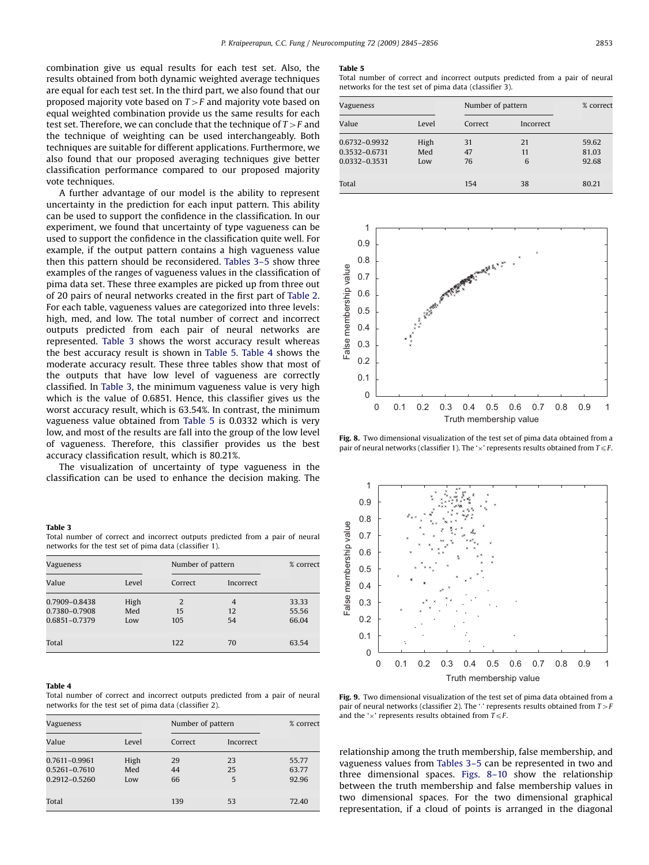<span id="page-8-0"></span>combination give us equal results for each test set. Also, the results obtained from both dynamic weighted average techniques are equal for each test set. In the third part, we also found that our proposed majority vote based on  $T>F$  and majority vote based on equal weighted combination provide us the same results for each test set. Therefore, we can conclude that the technique of  $T>F$  and the technique of weighting can be used interchangeably. Both techniques are suitable for different applications. Furthermore, we also found that our proposed averaging techniques give better classification performance compared to our proposed majority vote techniques.

A further advantage of our model is the ability to represent uncertainty in the prediction for each input pattern. This ability can be used to support the confidence in the classification. In our experiment, we found that uncertainty of type vagueness can be used to support the confidence in the classification quite well. For example, if the output pattern contains a high vagueness value then this pattern should be reconsidered. Tables 3–5 show three examples of the ranges of vagueness values in the classification of pima data set. These three examples are picked up from three out of 20 pairs of neural networks created in the first part of [Table 2.](#page-7-0) For each table, vagueness values are categorized into three levels: high, med, and low. The total number of correct and incorrect outputs predicted from each pair of neural networks are represented. Table 3 shows the worst accuracy result whereas the best accuracy result is shown in Table 5. Table 4 shows the moderate accuracy result. These three tables show that most of the outputs that have low level of vagueness are correctly classified. In Table 3, the minimum vagueness value is very high which is the value of 0.6851. Hence, this classifier gives us the worst accuracy result, which is 63.54%. In contrast, the minimum vagueness value obtained from Table 5 is 0.0332 which is very low, and most of the results are fall into the group of the low level of vagueness. Therefore, this classifier provides us the best accuracy classification result, which is 80.21%.

The visualization of uncertainty of type vagueness in the classification can be used to enhance the decision making. The

#### Table 3

Total number of correct and incorrect outputs predicted from a pair of neural networks for the test set of pima data (classifier 1).

| Vagueness                                       |                    | Number of pattern |                            | % correct               |
|-------------------------------------------------|--------------------|-------------------|----------------------------|-------------------------|
| Value                                           | Level              | Correct           | Incorrect                  |                         |
| 0.7909-0.8438<br>0.7380-0.7908<br>0.6851-0.7379 | High<br>Med<br>Low | 2<br>15<br>105    | $\overline{4}$<br>12<br>54 | 33.33<br>55.56<br>66.04 |
| Total                                           |                    | 122               | 70                         | 63.54                   |

#### Table 4

Total number of correct and incorrect outputs predicted from a pair of neural networks for the test set of pima data (classifier 2).

| Vagueness                                       |                    | Number of pattern |               | % correct               |
|-------------------------------------------------|--------------------|-------------------|---------------|-------------------------|
| Value                                           | Level              | Correct           | Incorrect     |                         |
| 0.7611-0.9961<br>0.5261-0.7610<br>0.2912-0.5260 | High<br>Med<br>Low | 29<br>44<br>66    | 23<br>25<br>5 | 55.77<br>63.77<br>92.96 |
| Total                                           |                    | 139               | 53            | 72.40                   |

#### Table 5

Total number of correct and incorrect outputs predicted from a pair of neural networks for the test set of pima data (classifier 3).

| Vagueness      |      | Number of pattern |           | % correct |
|----------------|------|-------------------|-----------|-----------|
| Value<br>Level |      | Correct           | Incorrect |           |
| 0.6732-0.9932  | High | 31                | 21        | 59.62     |
| 0.3532-0.6731  | Med  | 47                | 11        | 81.03     |
| 0.0332-0.3531  | Low  | 76                | 6         | 92.68     |
| Total          |      | 154               | 38        | 80.21     |



Fig. 8. Two dimensional visualization of the test set of pima data obtained from a pair of neural networks (classifier 1). The ' $\times$ ' represents results obtained from  $T\leq F$ .



Fig. 9. Two dimensional visualization of the test set of pima data obtained from a pair of neural networks (classifier 2). The ':' represents results obtained from  $T>F$ and the ' $\times$ ' represents results obtained from  $T \leq F$ .

relationship among the truth membership, false membership, and vagueness values from Tables 3–5 can be represented in two and three dimensional spaces. Figs. 8–10 show the relationship between the truth membership and false membership values in two dimensional spaces. For the two dimensional graphical representation, if a cloud of points is arranged in the diagonal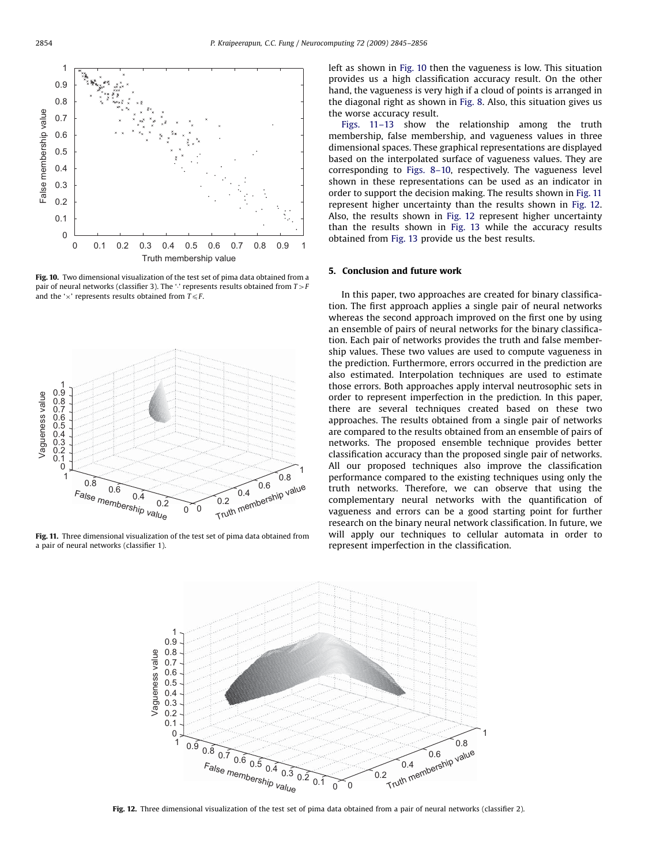

Fig. 10. Two dimensional visualization of the test set of pima data obtained from a pair of neural networks (classifier 3). The '' represents results obtained from  $T>F$ and the ' $\times$ ' represents results obtained from  $T \leq F$ .



Fig. 11. Three dimensional visualization of the test set of pima data obtained from a pair of neural networks (classifier 1).

left as shown in Fig. 10 then the vagueness is low. This situation provides us a high classification accuracy result. On the other hand, the vagueness is very high if a cloud of points is arranged in the diagonal right as shown in [Fig. 8.](#page-8-0) Also, this situation gives us the worse accuracy result.

Figs. 11–13 show the relationship among the truth membership, false membership, and vagueness values in three dimensional spaces. These graphical representations are displayed based on the interpolated surface of vagueness values. They are corresponding to [Figs. 8–10,](#page-8-0) respectively. The vagueness level shown in these representations can be used as an indicator in order to support the decision making. The results shown in Fig. 11 represent higher uncertainty than the results shown in Fig. 12. Also, the results shown in Fig. 12 represent higher uncertainty than the results shown in [Fig. 13](#page-10-0) while the accuracy results obtained from [Fig. 13](#page-10-0) provide us the best results.

## 5. Conclusion and future work

In this paper, two approaches are created for binary classification. The first approach applies a single pair of neural networks whereas the second approach improved on the first one by using an ensemble of pairs of neural networks for the binary classification. Each pair of networks provides the truth and false membership values. These two values are used to compute vagueness in the prediction. Furthermore, errors occurred in the prediction are also estimated. Interpolation techniques are used to estimate those errors. Both approaches apply interval neutrosophic sets in order to represent imperfection in the prediction. In this paper, there are several techniques created based on these two approaches. The results obtained from a single pair of networks are compared to the results obtained from an ensemble of pairs of networks. The proposed ensemble technique provides better classification accuracy than the proposed single pair of networks. All our proposed techniques also improve the classification performance compared to the existing techniques using only the truth networks. Therefore, we can observe that using the complementary neural networks with the quantification of vagueness and errors can be a good starting point for further research on the binary neural network classification. In future, we will apply our techniques to cellular automata in order to represent imperfection in the classification.



Fig. 12. Three dimensional visualization of the test set of pima data obtained from a pair of neural networks (classifier 2).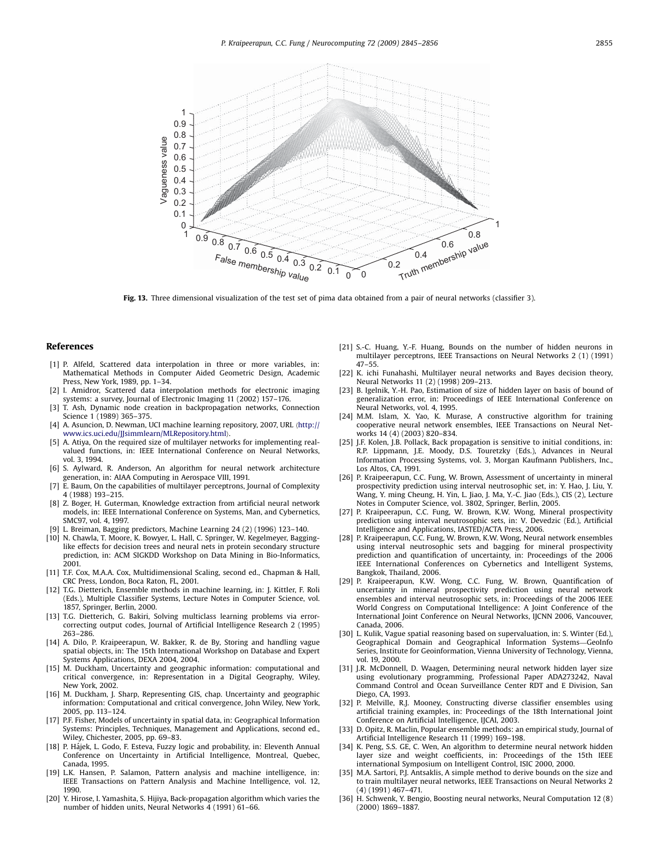<span id="page-10-0"></span>

Fig. 13. Three dimensional visualization of the test set of pima data obtained from a pair of neural networks (classifier 3).

#### References

- [1] P. Alfeld, Scattered data interpolation in three or more variables, in: Mathematical Methods in Computer Aided Geometric Design, Academic Press, New York, 1989, pp. 1–34.
- [2] I. Amidror, Scattered data interpolation methods for electronic imaging systems: a survey, Journal of Electronic Imaging 11 (2002) 157–176.
- [3] T. Ash, Dynamic node creation in backpropagation networks, Connection Science 1 (1989) 365–375.
- [4] A. Asuncion, D. Newman, UCI machine learning repository, 2007, URL ([http://](http://www.ics.uci.edu/~mlearn/MLRepository.html) [www.ics.uci.edu/JJsimmlearn/MLRepository.html](http://www.ics.uci.edu/~mlearn/MLRepository.html)).
- [5] A. Atiya, On the required size of multilayer networks for implementing realvalued functions, in: IEEE International Conference on Neural Networks, vol. 3, 1994.
- [6] S. Aylward, R. Anderson, An algorithm for neural network architecture generation, in: AIAA Computing in Aerospace VIII, 1991.
- [7] E. Baum, On the capabilities of multilayer perceptrons, Journal of Complexity 4 (1988) 193–215.
- [8] Z. Boger, H. Guterman, Knowledge extraction from artificial neural network models, in: IEEE International Conference on Systems, Man, and Cybernetics, SMC97, vol. 4, 1997.
- [9] L. Breiman, Bagging predictors, Machine Learning 24 (2) (1996) 123–140.
- [10] N. Chawla, T. Moore, K. Bowyer, L. Hall, C. Springer, W. Kegelmeyer, Bagginglike effects for decision trees and neural nets in protein secondary structure prediction, in: ACM SIGKDD Workshop on Data Mining in Bio-Informatics, 2001.
- [11] T.F. Cox, M.A.A. Cox, Multidimensional Scaling, second ed., Chapman & Hall, CRC Press, London, Boca Raton, FL, 2001.
- [12] T.G. Dietterich, Ensemble methods in machine learning, in: J. Kittler, F. Roli (Eds.), Multiple Classifier Systems, Lecture Notes in Computer Science, vol. 1857, Springer, Berlin, 2000.
- [13] T.G. Dietterich, G. Bakiri, Solving multiclass learning problems via errorcorrecting output codes, Journal of Artificial Intelligence Research 2 (1995) 263–286.
- [14] A. Dilo, P. Kraipeerapun, W. Bakker, R. de By, Storing and handling vague spatial objects, in: The 15th International Workshop on Database and Expert Systems Applications, DEXA 2004, 2004.
- [15] M. Duckham, Uncertainty and geographic information: computational and critical convergence, in: Representation in a Digital Geography, Wiley, New York, 2002.
- [16] M. Duckham, J. Sharp, Representing GIS, chap. Uncertainty and geographic information: Computational and critical convergence, John Wiley, New York, 2005, pp. 113–124.
- [17] P.F. Fisher, Models of uncertainty in spatial data, in: Geographical Information Systems: Principles, Techniques, Management and Applications, second ed., Wiley, Chichester, 2005, pp. 69–83.
- [18] P. Hájek, L. Godo, F. Esteva, Fuzzy logic and probability, in: Eleventh Annual Conference on Uncertainty in Artificial Intelligence, Montreal, Quebec, Canada, 1995.
- [19] L.K. Hansen, P. Salamon, Pattern analysis and machine intelligence, in: IEEE Transactions on Pattern Analysis and Machine Intelligence, vol. 12, 1990.
- [20] Y. Hirose, I. Yamashita, S. Hijiya, Back-propagation algorithm which varies the number of hidden units, Neural Networks 4 (1991) 61–66.
- [21] S.-C. Huang, Y.-F. Huang, Bounds on the number of hidden neurons in multilayer perceptrons, IEEE Transactions on Neural Networks 2 (1) (1991) 47–55.
- [22] K. ichi Funahashi, Multilayer neural networks and Bayes decision theory, Neural Networks 11 (2) (1998) 209–213.
- [23] B. Igelnik, Y.-H. Pao, Estimation of size of hidden layer on basis of bound of generalization error, in: Proceedings of IEEE International Conference on Neural Networks, vol. 4, 1995.
- [24] M.M. Islam, X. Yao, K. Murase, A constructive algorithm for training cooperative neural network ensembles, IEEE Transactions on Neural Networks 14 (4) (2003) 820–834.
- [25] J.F. Kolen, J.B. Pollack, Back propagation is sensitive to initial conditions, in: R.P. Lippmann, J.E. Moody, D.S. Touretzky (Eds.), Advances in Neural Information Processing Systems, vol. 3, Morgan Kaufmann Publishers, Inc., Los Altos, CA, 1991.
- [26] P. Kraipeerapun, C.C. Fung, W. Brown, Assessment of uncertainty in mineral prospectivity prediction using interval neutrosophic set, in: Y. Hao, J. Liu, Y. Wang, Y. ming Cheung, H. Yin, L. Jiao, J. Ma, Y.-C. Jiao (Eds.), CIS (2), Lecture Notes in Computer Science, vol. 3802, Springer, Berlin, 2005.
- [27] P. Kraipeerapun, C.C. Fung, W. Brown, K.W. Wong, Mineral prospectivity prediction using interval neutrosophic sets, in: V. Devedzic (Ed.), Artificial Intelligence and Applications, IASTED/ACTA Press, 2006.
- [28] P. Kraipeerapun, C.C. Fung, W. Brown, K.W. Wong, Neural network ensembles using interval neutrosophic sets and bagging for mineral prospectivity prediction and quantification of uncertainty, in: Proceedings of the 2006 IEEE International Conferences on Cybernetics and Intelligent Systems, Bangkok, Thailand, 2006.
- [29] P. Kraipeerapun, K.W. Wong, C.C. Fung, W. Brown, Quantification of uncertainty in mineral prospectivity prediction using neural network ensembles and interval neutrosophic sets, in: Proceedings of the 2006 IEEE World Congress on Computational Intelligence: A Joint Conference of the International Joint Conference on Neural Networks, IJCNN 2006, Vancouver, Canada, 2006.
- [30] L. Kulik, Vague spatial reasoning based on supervaluation, in: S. Winter (Ed.), Geographical Domain and Geographical Information Systems—GeoInfo Series, Institute for Geoinformation, Vienna University of Technology, Vienna, vol. 19, 2000.
- [31] J.R. McDonnell, D. Waagen, Determining neural network hidden layer size using evolutionary programming, Professional Paper ADA273242, Naval Command Control and Ocean Surveillance Center RDT and E Division, San Diego, CA, 1993.
- [32] P. Melville, R.J. Mooney, Constructing diverse classifier ensembles using artificial training examples, in: Proceedings of the 18th International Joint Conference on Artificial Intelligence, IJCAI, 2003.
- [33] D. Opitz, R. Maclin, Popular ensemble methods: an empirical study, Journal of Artificial Intelligence Research 11 (1999) 169–198.
- [34] K. Peng, S.S. GE, C. Wen, An algorithm to determine neural network hidden layer size and weight coefficients, in: Proceedings of the 15th IEEE international Symposium on Intelligent Control, ISIC 2000, 2000.
- [35] M.A. Sartori, P.J. Antsaklis, A simple method to derive bounds on the size and to train multilayer neural networks, IEEE Transactions on Neural Networks 2 (4) (1991) 467–471.
- [36] H. Schwenk, Y. Bengio, Boosting neural networks, Neural Computation 12 (8) (2000) 1869–1887.